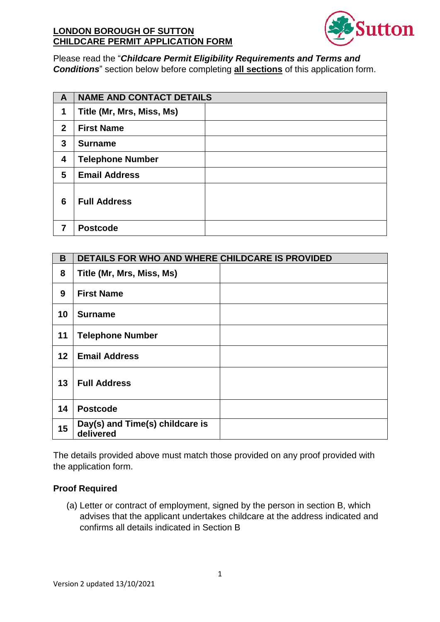

## Please read the "Childcare Permit Eligibility Requirements and Terms and **Conditions**" section below before completing **all sections** of this application form.

| $\mathbf{A}$   | <b>NAME AND CONTACT DETAILS</b> |  |
|----------------|---------------------------------|--|
| 1              | Title (Mr, Mrs, Miss, Ms)       |  |
| $\overline{2}$ | <b>First Name</b>               |  |
| 3              | <b>Surname</b>                  |  |
| 4              | <b>Telephone Number</b>         |  |
| 5              | <b>Email Address</b>            |  |
| 6              | <b>Full Address</b>             |  |
| 7              | <b>Postcode</b>                 |  |

| B  | DETAILS FOR WHO AND WHERE CHILDCARE IS PROVIDED |  |  |
|----|-------------------------------------------------|--|--|
| 8  | Title (Mr, Mrs, Miss, Ms)                       |  |  |
| 9  | <b>First Name</b>                               |  |  |
| 10 | <b>Surname</b>                                  |  |  |
| 11 | <b>Telephone Number</b>                         |  |  |
| 12 | <b>Email Address</b>                            |  |  |
| 13 | <b>Full Address</b>                             |  |  |
| 14 | <b>Postcode</b>                                 |  |  |
| 15 | Day(s) and Time(s) childcare is<br>delivered    |  |  |

The details provided above must match those provided on any proof provided with the application form.

## **Proof Required**

(a) Letter or contract of employment, signed by the person in section B, which advises that the applicant undertakes childcare at the address indicated and confirms all details indicated in Section B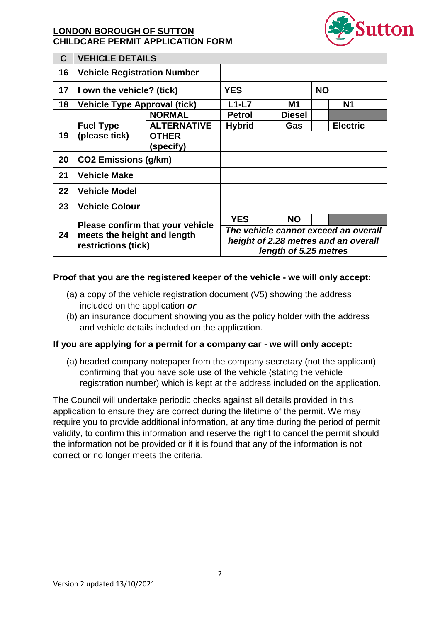

| C  | <b>VEHICLE DETAILS</b>                                                                 |                           |                                                                                                       |  |               |           |                 |  |
|----|----------------------------------------------------------------------------------------|---------------------------|-------------------------------------------------------------------------------------------------------|--|---------------|-----------|-----------------|--|
| 16 | <b>Vehicle Registration Number</b>                                                     |                           |                                                                                                       |  |               |           |                 |  |
| 17 | I own the vehicle? (tick)                                                              |                           | <b>YES</b>                                                                                            |  |               | <b>NO</b> |                 |  |
| 18 | <b>Vehicle Type Approval (tick)</b>                                                    |                           | $L1-L7$                                                                                               |  | M1            |           | <b>N1</b>       |  |
|    |                                                                                        | <b>NORMAL</b>             | <b>Petrol</b>                                                                                         |  | <b>Diesel</b> |           |                 |  |
|    | <b>Fuel Type</b>                                                                       | <b>ALTERNATIVE</b>        | <b>Hybrid</b>                                                                                         |  | Gas           |           | <b>Electric</b> |  |
| 19 | (please tick)                                                                          | <b>OTHER</b><br>(specify) |                                                                                                       |  |               |           |                 |  |
| 20 | <b>CO2 Emissions (g/km)</b>                                                            |                           |                                                                                                       |  |               |           |                 |  |
| 21 | <b>Vehicle Make</b>                                                                    |                           |                                                                                                       |  |               |           |                 |  |
| 22 | <b>Vehicle Model</b>                                                                   |                           |                                                                                                       |  |               |           |                 |  |
| 23 | <b>Vehicle Colour</b>                                                                  |                           |                                                                                                       |  |               |           |                 |  |
| 24 | Please confirm that your vehicle<br>meets the height and length<br>restrictions (tick) |                           | <b>YES</b>                                                                                            |  | <b>NO</b>     |           |                 |  |
|    |                                                                                        |                           | The vehicle cannot exceed an overall<br>height of 2.28 metres and an overall<br>length of 5.25 metres |  |               |           |                 |  |

#### Proof that you are the registered keeper of the vehicle - we will only accept:

- (a) a copy of the vehicle registration document  $(V5)$  showing the address included on the application or
- (b) an insurance document showing you as the policy holder with the address and vehicle details included on the application.

#### If you are applying for a permit for a company car - we will only accept:

(a) headed company notepaper from the company secretary (not the applicant) confirming that you have sole use of the vehicle (stating the vehicle registration number) which is kept at the address included on the application.

The Council will undertake periodic checks against all details provided in this application to ensure they are correct during the lifetime of the permit. We may require you to provide additional information, at any time during the period of permit validity, to confirm this information and reserve the right to cancel the permit should the information not be provided or if it is found that any of the information is not correct or no longer meets the criteria.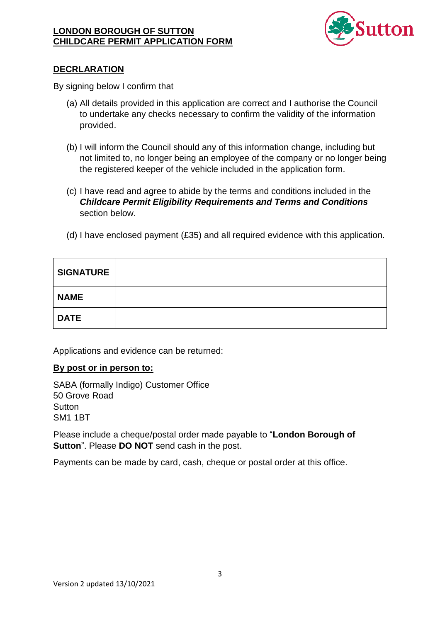

## **DECRLARATION**

By signing below I confirm that

- (a) All details provided in this application are correct and I authorise the Council to undertake any checks necessary to confirm the validity of the information provided.
- (b) I will inform the Council should any of this information change, including but not limited to, no longer being an employee of the company or no longer being the registered keeper of the vehicle included in the application form.
- (c) I have read and agree to abide by the terms and conditions included in the **Childcare Permit Eligibility Requirements and Terms and Conditions** section below.
- (d) I have enclosed payment (£35) and all required evidence with this application.

| <b>SIGNATURE</b> |  |
|------------------|--|
| <b>NAME</b>      |  |
| <b>DATE</b>      |  |

Applications and evidence can be returned:

#### By post or in person to:

SABA (formally Indigo) Customer Office 50 Grove Road Sutton **SM1 1BT** 

Please include a cheque/postal order made payable to "London Borough of **Sutton**". Please **DO NOT** send cash in the post.

Payments can be made by card, cash, cheque or postal order at this office.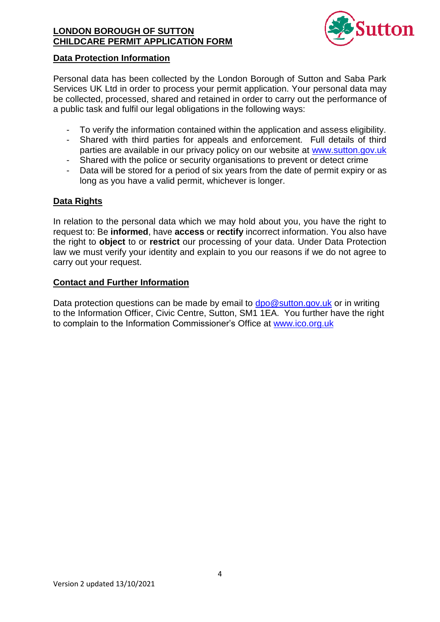

#### **Data Protection Information**

Personal data has been collected by the London Borough of Sutton and Saba Park Services UK Ltd in order to process your permit application. Your personal data may be collected, processed, shared and retained in order to carry out the performance of a public task and fulfil our legal obligations in the following ways:

- To verify the information contained within the application and assess eligibility.
- Shared with third parties for appeals and enforcement. Full details of third parties are available in our privacy policy on our website at www.sutton.gov.uk
- Shared with the police or security organisations to prevent or detect crime  $\omega_{\rm{max}}$
- Data will be stored for a period of six years from the date of permit expiry or as long as you have a valid permit, whichever is longer.

## **Data Rights**

In relation to the personal data which we may hold about you, you have the right to request to: Be informed, have access or rectify incorrect information. You also have the right to object to or restrict our processing of your data. Under Data Protection law we must verify your identity and explain to you our reasons if we do not agree to carry out your request.

#### **Contact and Further Information**

Data protection questions can be made by email to  $dpo@sutton.gov.uk$  or in writing to the Information Officer, Civic Centre, Sutton, SM1 1EA. You further have the right to complain to the Information Commissioner's Office at www.ico.org.uk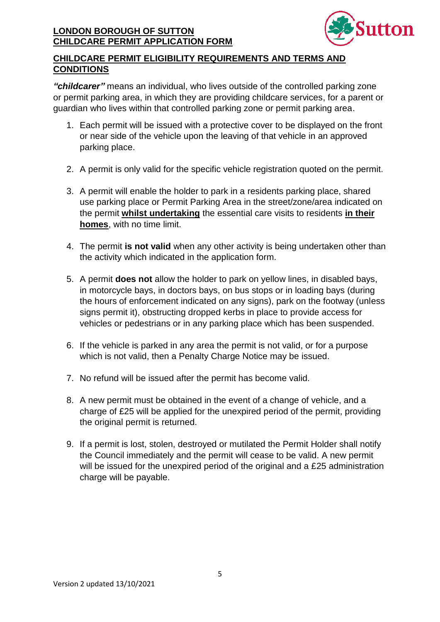

# **CHILDCARE PERMIT ELIGIBILITY REQUIREMENTS AND TERMS AND CONDITIONS**

"childcarer" means an individual, who lives outside of the controlled parking zone or permit parking area, in which they are providing childcare services, for a parent or guardian who lives within that controlled parking zone or permit parking area.

- 1. Each permit will be issued with a protective cover to be displayed on the front or near side of the vehicle upon the leaving of that vehicle in an approved parking place.
- 2. A permit is only valid for the specific vehicle registration quoted on the permit.
- 3. A permit will enable the holder to park in a residents parking place, shared use parking place or Permit Parking Area in the street/zone/area indicated on the permit whilst undertaking the essential care visits to residents in their homes, with no time limit.
- 4. The permit is not valid when any other activity is being undertaken other than the activity which indicated in the application form.
- 5. A permit does not allow the holder to park on yellow lines, in disabled bays, in motorcycle bays, in doctors bays, on bus stops or in loading bays (during the hours of enforcement indicated on any signs), park on the footway (unless signs permit it), obstructing dropped kerbs in place to provide access for vehicles or pedestrians or in any parking place which has been suspended.
- 6. If the vehicle is parked in any area the permit is not valid, or for a purpose which is not valid, then a Penalty Charge Notice may be issued.
- 7. No refund will be issued after the permit has become valid.
- 8. A new permit must be obtained in the event of a change of vehicle, and a charge of £25 will be applied for the unexpired period of the permit, providing the original permit is returned.
- 9. If a permit is lost, stolen, destroyed or mutilated the Permit Holder shall notify the Council immediately and the permit will cease to be valid. A new permit will be issued for the unexpired period of the original and a £25 administration charge will be payable.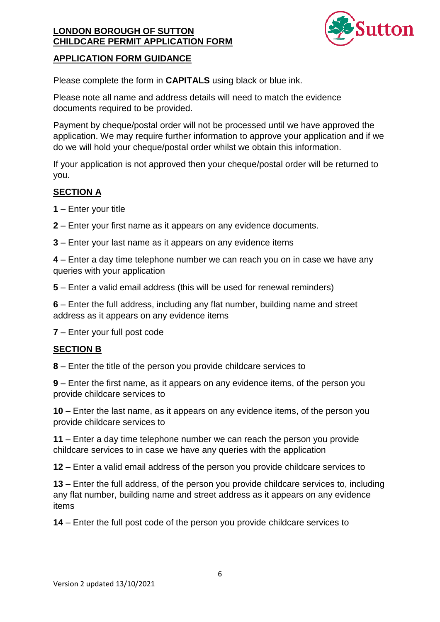

## **APPLICATION FORM GUIDANCE**

Please complete the form in **CAPITALS** using black or blue ink.

Please note all name and address details will need to match the evidence documents required to be provided.

Payment by cheque/postal order will not be processed until we have approved the application. We may require further information to approve your application and if we do we will hold your cheque/postal order whilst we obtain this information.

If your application is not approved then your cheque/postal order will be returned to you.

## **SECTION A**

- $1 -$  Enter your title
- 2 Enter your first name as it appears on any evidence documents.
- 3 Enter your last name as it appears on any evidence items

4 – Enter a day time telephone number we can reach you on in case we have any queries with your application

5 – Enter a valid email address (this will be used for renewal reminders)

6 – Enter the full address, including any flat number, building name and street address as it appears on any evidence items

7 – Enter your full post code

## **SECTION B**

8 – Enter the title of the person you provide childcare services to

9 – Enter the first name, as it appears on any evidence items, of the person you provide childcare services to

10 – Enter the last name, as it appears on any evidence items, of the person you provide childcare services to

11 – Enter a day time telephone number we can reach the person you provide childcare services to in case we have any queries with the application

12 – Enter a valid email address of the person you provide childcare services to

13 – Enter the full address, of the person you provide childcare services to, including any flat number, building name and street address as it appears on any evidence items

14 – Enter the full post code of the person you provide childcare services to